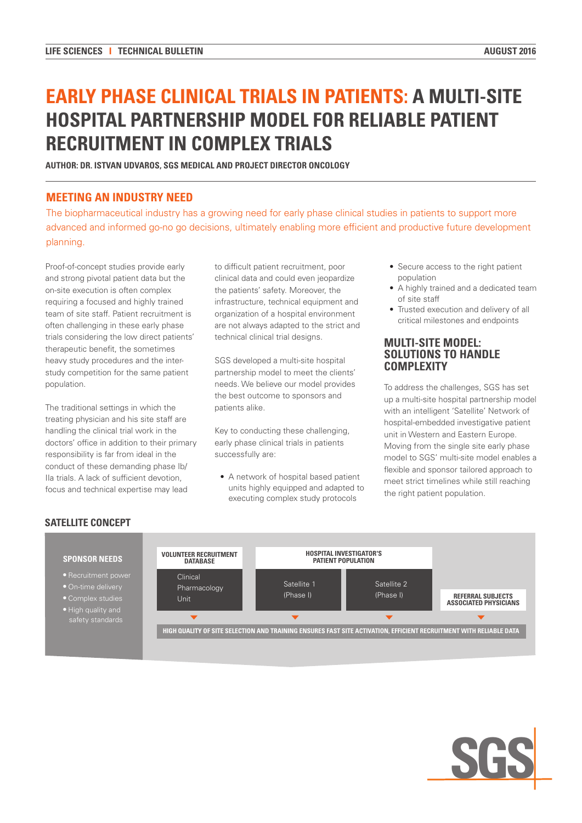# **EARLY PHASE CLINICAL TRIALS IN PATIENTS: A MULTI-SITE HOSPITAL PARTNERSHIP MODEL FOR RELIABLE PATIENT RECRUITMENT IN COMPLEX TRIALS**

**AUTHOR: DR. ISTVAN UDVAROS, SGS MEDICAL AND PROJECT DIRECTOR ONCOLOGY**

## **MEETING AN INDUSTRY NEED**

The biopharmaceutical industry has a growing need for early phase clinical studies in patients to support more advanced and informed go-no go decisions, ultimately enabling more efficient and productive future development planning.

Proof-of-concept studies provide early and strong pivotal patient data but the on-site execution is often complex requiring a focused and highly trained team of site staff. Patient recruitment is often challenging in these early phase trials considering the low direct patients' therapeutic benefit, the sometimes heavy study procedures and the interstudy competition for the same patient population.

The traditional settings in which the treating physician and his site staff are handling the clinical trial work in the doctors' office in addition to their primary responsibility is far from ideal in the conduct of these demanding phase Ib/ IIa trials. A lack of sufficient devotion, focus and technical expertise may lead

to difficult patient recruitment, poor clinical data and could even jeopardize the patients' safety. Moreover, the infrastructure, technical equipment and organization of a hospital environment are not always adapted to the strict and technical clinical trial designs.

SGS developed a multi-site hospital partnership model to meet the clients' needs. We believe our model provides the best outcome to sponsors and patients alike.

Key to conducting these challenging, early phase clinical trials in patients successfully are:

• A network of hospital based patient units highly equipped and adapted to executing complex study protocols

- Secure access to the right patient population
- A highly trained and a dedicated team of site staff
- Trusted execution and delivery of all critical milestones and endpoints

#### **MULTI-SITE MODEL: SOLUTIONS TO HANDLE COMPLEXITY**

To address the challenges, SGS has set up a multi-site hospital partnership model with an intelligent 'Satellite' Network of hospital-embedded investigative patient unit in Western and Eastern Europe. Moving from the single site early phase model to SGS' multi-site model enables a flexible and sponsor tailored approach to meet strict timelines while still reaching the right patient population.

## **SATELLITE CONCEPT**